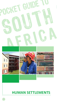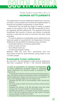Pocket Guide to South Africa 2011/12 **HUMAN SETTLEMENTS**

The Department of Human Settlements determines, finances, promotes, communicates and monitors the implementation of housing and sanitation programmes in South Africa.

M H.

Government has set itself the target of making a positive impact on the quality of life of 500 000 households by 2014, by upgrading informal settlements. The upgrade will provide households with security of tenure and access to essential services in sites that are close to economic and other social amenities.

To meet its objective of sustainable human settlements and improved quality of household life, the Department of Human Settlements has identified the following areas of priority:

- accelerated delivery of housing opportunities
- access to basic services
- more efficient land use
- an improved property market.

**A.** 

Between 1994 and June 2011, government built over three million homes for South Africans, giving shelter to over 13 million people.

## **Sustainable human settlements**

By June 2011, the formalisation of 206 informal settlements had been completed. Of the 2 700 informal settlements

In terms of government's 12 outcomes, the Department of Human Settlements contributes directly to sustainable human settlements and improved quality of household life (Outcome 8).

To accelerate the delivery of basic services and housing opportunities, and improve access to the property market, the Department of Human Settlements, together with provinces and municipalities, will focus on the following outputs over the medium term:

- upgrading 400 000 units of accommodation within informal settlements
- improving access to basic services by providing universal access to sanitation
- facilitating the provision of 80 000 affordable social and rental housing units of accommodation in well-located areas
- facilitating the provision of improved housing finance opportunities for 600 000 households within the gap market for people earning between R3 500 and R12 800
- releasing 6 250 ha of public-owned land for housing development.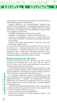countrywide, 1 100 of had been identified for upgrading and a further 335 targeted for formalisation.

Cabinet approved the Comprehensive Housing Plan (CHP) for the Development of Integrated Sustainable Human Settlements (Breaking New Ground [BNG]) that aims, among other things, to eradicate informal settlements in South Africa in the shortest possible time.

The BNG incorporates principles such as the:

- integration of subsidised, rental and bonded housing
- provision of engineering services at a higher level than many other townships, and applied consistently throughout the township
- provision of ancillary facilities such as schools, clinics and commercial opportunities.

As part of the CHP, government provides a 40-m<sup>2</sup> house with two bedrooms; a separate bathroom with a toilet, shower and handbasin; a combined living area and kitchen with a washbasin; and a ready board electrical installation where electricity supply is available in the township, to qualifying households earning less than R3 500 a month.

## **Rental housing for the poor**

Government plans to build 220 000 housing units in each financial year between 2011 and 2014. By the start of 2011/12, more than 8 000 human-settlement projects were already underway across the country.

The Housing Development Agency is fully operational, with the sole mandate to acquire land on behalf of government for human settlement. The target is to acquire 6 025 ha of land by 2014. This will provide for 500 000 housing units.

The National Upgrading Support Programme has also been established and is expected to help municipalities with upgrading projects. In addition, the Department of Human Settlements has reached an agreement with the country's major banks to form a joint working team to explore aspects of housing finance.

The National Rental Housing Strategy, which was approved in 2008, provides for people in the low-income bracket who may live in housing stock arising out of:

- provision made by previous departments
- public-sector hostels for housing migratory labour in the previous dispensation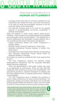Pocket Guide to South Africa 2011/12 **HUMAN SETTLEMENTS**

• municipal rental stock that has not been transferred to the households who inhabit the units, and which will continue to be used as rental accommodation because of the low economic status of the households

M H

**LEARE** 

• new high-rise housing stock to be built for the specific purpose of accommodating low-income households in rental accommodation.

Many job seekers in urban areas require rental accommodation. There has been an increased demand for affordable and well-located rental accommodation. The Department of Human Settlements has developed a project pipeline with a mix of public-private sector rental stock, including the:

- Umlazi Community Rental Unit (CRU) Programme in KwaZulu-Natal
- Brooklyn Social Housing Programme in Cape Town
- Amalinda Institutional Housing Subsidy in Buffalo City, East London
- Cavendish Inner-City Private-Sector Rental in Johannesburg
- Zola Township Small-Scale Private Rental Stock for backyard dwellers in Gauteng.

All of these are aimed at creating 80 000 rental opportunities by 2014.

The CRU Programme replaces the National Hostel Redevelopment Programme and the proposed Affordable Rental Housing Programme.

There are approximately 2 000 public hostels that need to be addressed by government. There are also 200 000 residential units owned by provinces and municipalities. The programme provides a coherent framework for dealing with the many different forms of existing public-sector residential accommodation.

The CRU Programme aims to facilitate the provision of secure, stable rental tenure for lower-income individuals. The programme targets low-income individuals and households earning between R800 and R3 500 a month, who are unable to enter the formal private rental and social housing market.

More single women are buying homes in South Africa, with the number rising significantly over the last four years. According to mortgage company Ooba, the ratio of women to men in single-person home-loan applications increased from 36,53% in January 2007 to 46,94% in 2011. Single-person applications made up 49,65% of applications, compared to joint applications.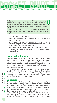In September 2011, the Department of Human Settlements introduced Mortgage Default Insurance. This ensures that home owners have shelter if they default on their repayments. It also assures financiers and bond lenders of returns in such a situation.

This is an example of a product tailor-made to take care of the housing finance needs of low- to middle-income households that may be overlooked by banks.

The CRU Programme covers:

- public hostels owned by provincial housing departments and municipalities
- "grey" hostels that have both private and public ownership
- public housing stock that cannot be transferred and has to be managed as rental accommodation
- post-1994 newly developed public residential accommodation owned by provincial housing departments and municipalities
- dilapidated, derelict and dysfunctional buildings.

## **Housing institutions**

The department's support institutions play an important role in enhancing the norms and standards of housing, and making housing more accessible to all South Africans. They also facilitate the specific housing and housing-related needs of the market, in addition to the role provincial governments and municipalities play.

The institutions are the National Home Builders Registration Council, National Housing Finance Corporation, National Urban Reconstruction and Housing Agency, Rural Housing Loan Fund, Housing Development Agency and Social Housing Regulatory Authority.

## **Subsidies**

A housing subsidy is a grant by government to qualifying beneficiaries for housing purposes. The subsidy is either paid to a seller of a house or, in new developments, the subsidy is used to finance the construction of a house that complies with the ministerial minimum norms and standards. The house is then transferred to the qualifying beneficiary.

One of the Department of Human Settlements' areas of responsibility relates to the bottom-most end of the market, where it provides housing subsidies to the poor. This is where